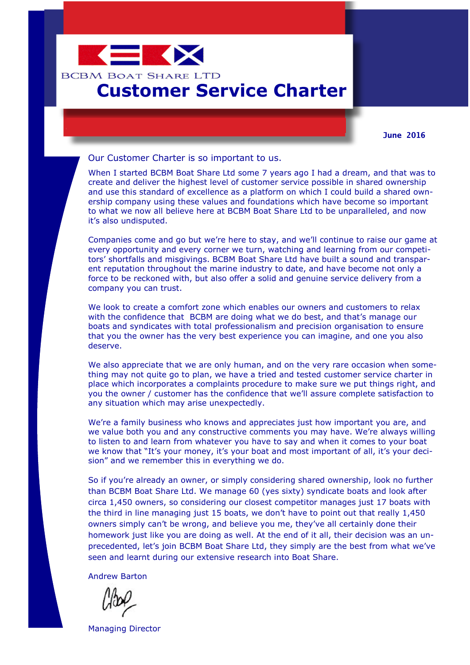

## **Customer Service Charter**

**June 2016**

Our Customer Charter is so important to us.

When I started BCBM Boat Share Ltd some 7 years ago I had a dream, and that was to create and deliver the highest level of customer service possible in shared ownership and use this standard of excellence as a platform on which I could build a shared ownership company using these values and foundations which have become so important to what we now all believe here at BCBM Boat Share Ltd to be unparalleled, and now it's also undisputed.

Companies come and go but we're here to stay, and we'll continue to raise our game at every opportunity and every corner we turn, watching and learning from our competitors' shortfalls and misgivings. BCBM Boat Share Ltd have built a sound and transparent reputation throughout the marine industry to date, and have become not only a force to be reckoned with, but also offer a solid and genuine service delivery from a company you can trust.

We look to create a comfort zone which enables our owners and customers to relax with the confidence that BCBM are doing what we do best, and that's manage our boats and syndicates with total professionalism and precision organisation to ensure that you the owner has the very best experience you can imagine, and one you also deserve.

We also appreciate that we are only human, and on the very rare occasion when something may not quite go to plan, we have a tried and tested customer service charter in place which incorporates a complaints procedure to make sure we put things right, and you the owner / customer has the confidence that we'll assure complete satisfaction to any situation which may arise unexpectedly.

We're a family business who knows and appreciates just how important you are, and we value both you and any constructive comments you may have. We're always willing to listen to and learn from whatever you have to say and when it comes to your boat we know that "It's your money, it's your boat and most important of all, it's your decision" and we remember this in everything we do.

So if you're already an owner, or simply considering shared ownership, look no further than BCBM Boat Share Ltd. We manage 60 (yes sixty) syndicate boats and look after circa 1,450 owners, so considering our closest competitor manages just 17 boats with the third in line managing just 15 boats, we don't have to point out that really 1,450 owners simply can't be wrong, and believe you me, they've all certainly done their homework just like you are doing as well. At the end of it all, their decision was an unprecedented, let's join BCBM Boat Share Ltd, they simply are the best from what we've seen and learnt during our extensive research into Boat Share.

Andrew Barton

Managing Director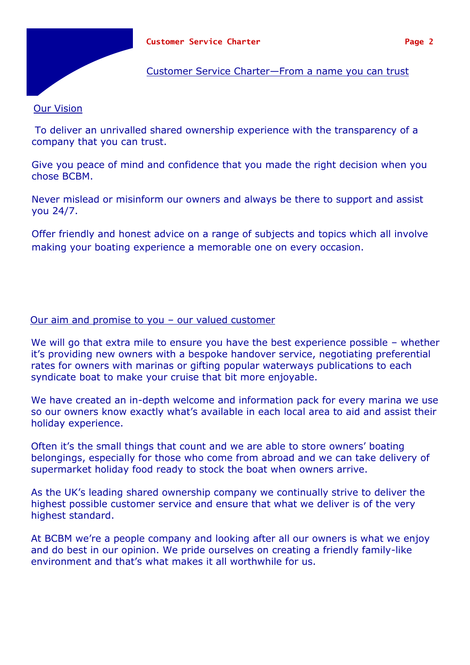

## Customer Service Charter—From a name you can trust

## Our Vision

To deliver an unrivalled shared ownership experience with the transparency of a company that you can trust.

Give you peace of mind and confidence that you made the right decision when you chose BCBM.

Never mislead or misinform our owners and always be there to support and assist you 24/7.

Offer friendly and honest advice on a range of subjects and topics which all involve making your boating experience a memorable one on every occasion.

## Our aim and promise to you – our valued customer

We will go that extra mile to ensure you have the best experience possible – whether it's providing new owners with a bespoke handover service, negotiating preferential rates for owners with marinas or gifting popular waterways publications to each syndicate boat to make your cruise that bit more enjoyable.

We have created an in-depth welcome and information pack for every marina we use so our owners know exactly what's available in each local area to aid and assist their holiday experience.

Often it's the small things that count and we are able to store owners' boating belongings, especially for those who come from abroad and we can take delivery of supermarket holiday food ready to stock the boat when owners arrive.

As the UK's leading shared ownership company we continually strive to deliver the highest possible customer service and ensure that what we deliver is of the very highest standard.

At BCBM we're a people company and looking after all our owners is what we enjoy and do best in our opinion. We pride ourselves on creating a friendly family-like environment and that's what makes it all worthwhile for us.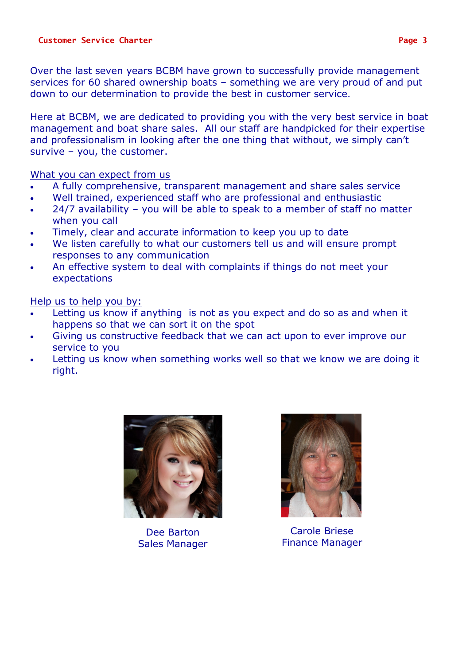Over the last seven years BCBM have grown to successfully provide management services for 60 shared ownership boats – something we are very proud of and put down to our determination to provide the best in customer service.

Here at BCBM, we are dedicated to providing you with the very best service in boat management and boat share sales. All our staff are handpicked for their expertise and professionalism in looking after the one thing that without, we simply can't survive – you, the customer.

What you can expect from us

- A fully comprehensive, transparent management and share sales service
- Well trained, experienced staff who are professional and enthusiastic
- 24/7 availability you will be able to speak to a member of staff no matter when you call
- Timely, clear and accurate information to keep you up to date
- We listen carefully to what our customers tell us and will ensure prompt responses to any communication
- An effective system to deal with complaints if things do not meet your expectations

Help us to help you by:

- Letting us know if anything is not as you expect and do so as and when it happens so that we can sort it on the spot
- Giving us constructive feedback that we can act upon to ever improve our service to you
- Letting us know when something works well so that we know we are doing it right.



Dee Barton Sales Manager



Carole Briese Finance Manager